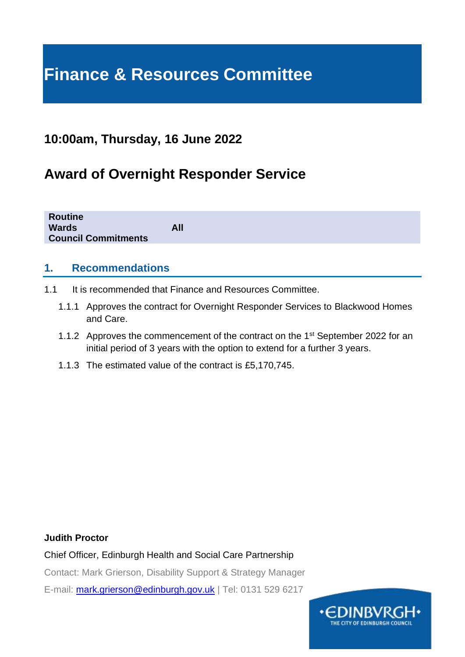# **Finance & Resources Committee**

# **10:00am, Thursday, 16 June 2022**

# **Award of Overnight Responder Service**

| <b>Routine</b><br><b>Wards</b><br><b>Council Commitments</b> | All |
|--------------------------------------------------------------|-----|
|                                                              |     |

#### **1. Recommendations**

- 1.1 It is recommended that Finance and Resources Committee.
	- 1.1.1 Approves the contract for Overnight Responder Services to Blackwood Homes and Care.
	- 1.1.2 Approves the commencement of the contract on the 1<sup>st</sup> September 2022 for an initial period of 3 years with the option to extend for a further 3 years.
	- 1.1.3 The estimated value of the contract is £5,170,745.

#### **Judith Proctor**

Chief Officer, Edinburgh Health and Social Care Partnership

Contact: Mark Grierson, Disability Support & Strategy Manager

E-mail: [mark.grierson@edinburgh.gov.uk](mailto:mark.grierson@edinburgh.gov.uk) | Tel: 0131 529 6217

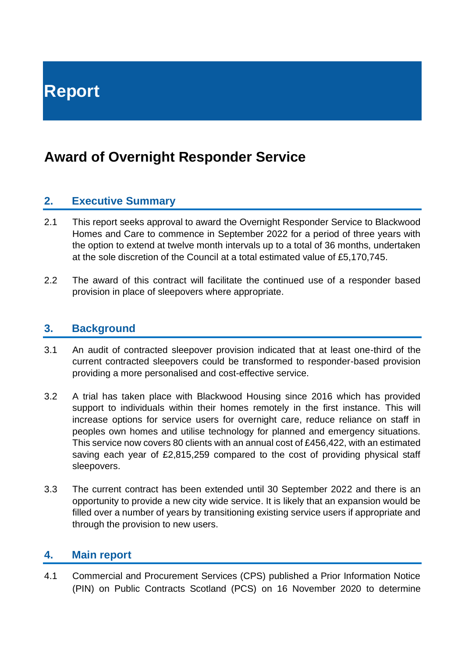# **Award of Overnight Responder Service**

## **2. Executive Summary**

- 2.1 This report seeks approval to award the Overnight Responder Service to Blackwood Homes and Care to commence in September 2022 for a period of three years with the option to extend at twelve month intervals up to a total of 36 months, undertaken at the sole discretion of the Council at a total estimated value of £5,170,745.
- 2.2 The award of this contract will facilitate the continued use of a responder based provision in place of sleepovers where appropriate.

#### **3. Background**

- 3.1 An audit of contracted sleepover provision indicated that at least one-third of the current contracted sleepovers could be transformed to responder-based provision providing a more personalised and cost-effective service.
- 3.2 A trial has taken place with Blackwood Housing since 2016 which has provided support to individuals within their homes remotely in the first instance. This will increase options for service users for overnight care, reduce reliance on staff in peoples own homes and utilise technology for planned and emergency situations. This service now covers 80 clients with an annual cost of £456,422, with an estimated saving each year of £2,815,259 compared to the cost of providing physical staff sleepovers.
- 3.3 The current contract has been extended until 30 September 2022 and there is an opportunity to provide a new city wide service. It is likely that an expansion would be filled over a number of years by transitioning existing service users if appropriate and through the provision to new users.

#### **4. Main report**

4.1 Commercial and Procurement Services (CPS) published a Prior Information Notice (PIN) on Public Contracts Scotland (PCS) on 16 November 2020 to determine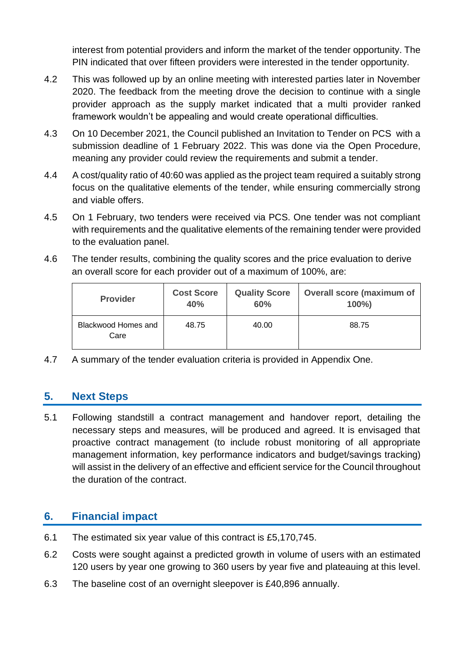interest from potential providers and inform the market of the tender opportunity. The PIN indicated that over fifteen providers were interested in the tender opportunity.

- 4.2 This was followed up by an online meeting with interested parties later in November 2020. The feedback from the meeting drove the decision to continue with a single provider approach as the supply market indicated that a multi provider ranked framework wouldn't be appealing and would create operational difficulties.
- 4.3 On 10 December 2021, the Council published an Invitation to Tender on PCS with a submission deadline of 1 February 2022. This was done via the Open Procedure, meaning any provider could review the requirements and submit a tender.
- 4.4 A cost/quality ratio of 40:60 was applied as the project team required a suitably strong focus on the qualitative elements of the tender, while ensuring commercially strong and viable offers.
- 4.5 On 1 February, two tenders were received via PCS. One tender was not compliant with requirements and the qualitative elements of the remaining tender were provided to the evaluation panel.
- 4.6 The tender results, combining the quality scores and the price evaluation to derive an overall score for each provider out of a maximum of 100%, are:

| <b>Provider</b>                    | <b>Cost Score</b> | <b>Quality Score</b> | <b>Overall score (maximum of</b> |
|------------------------------------|-------------------|----------------------|----------------------------------|
|                                    | 40%               | 60%                  | $100\%$                          |
| <b>Blackwood Homes and</b><br>Care | 48.75             | 40.00                | 88.75                            |

4.7 A summary of the tender evaluation criteria is provided in Appendix One.

## **5. Next Steps**

5.1 Following standstill a contract management and handover report, detailing the necessary steps and measures, will be produced and agreed. It is envisaged that proactive contract management (to include robust monitoring of all appropriate management information, key performance indicators and budget/savings tracking) will assist in the delivery of an effective and efficient service for the Council throughout the duration of the contract.

## **6. Financial impact**

- 6.1 The estimated six year value of this contract is £5,170,745.
- 6.2 Costs were sought against a predicted growth in volume of users with an estimated 120 users by year one growing to 360 users by year five and plateauing at this level.
- 6.3 The baseline cost of an overnight sleepover is £40,896 annually.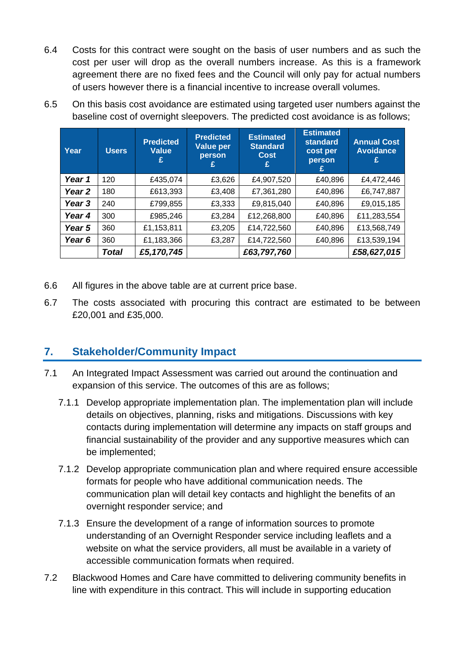- 6.4 Costs for this contract were sought on the basis of user numbers and as such the cost per user will drop as the overall numbers increase. As this is a framework agreement there are no fixed fees and the Council will only pay for actual numbers of users however there is a financial incentive to increase overall volumes.
- 6.5 On this basis cost avoidance are estimated using targeted user numbers against the baseline cost of overnight sleepovers. The predicted cost avoidance is as follows;

| Year   | <b>Users</b> | <b>Predicted</b><br><b>Value</b><br>£ | <b>Predicted</b><br>Value per<br>person | <b>Estimated</b><br><b>Standard</b><br><b>Cost</b> | <b>Estimated</b><br>standard<br>cost per<br>person<br>£ | <b>Annual Cost</b><br><b>Avoidance</b><br>£ |
|--------|--------------|---------------------------------------|-----------------------------------------|----------------------------------------------------|---------------------------------------------------------|---------------------------------------------|
| Year 1 | 120          | £435,074                              | £3,626                                  | £4,907,520                                         | £40,896                                                 | £4,472,446                                  |
| Year 2 | 180          | £613,393                              | £3,408                                  | £7,361,280                                         | £40,896                                                 | £6,747,887                                  |
| Year 3 | 240          | £799,855                              | £3,333                                  | £9,815,040                                         | £40,896                                                 | £9,015,185                                  |
| Year 4 | 300          | £985,246                              | £3,284                                  | £12,268,800                                        | £40,896                                                 | £11,283,554                                 |
| Year 5 | 360          | £1,153,811                            | £3,205                                  | £14,722,560                                        | £40,896                                                 | £13,568,749                                 |
| Year 6 | 360          | £1,183,366                            | £3,287                                  | £14,722,560                                        | £40,896                                                 | £13,539,194                                 |
|        | Total        | £5,170,745                            |                                         | £63,797,760                                        |                                                         | £58,627,015                                 |

- 6.6 All figures in the above table are at current price base.
- 6.7 The costs associated with procuring this contract are estimated to be between £20,001 and £35,000.

## **7. Stakeholder/Community Impact**

- 7.1 An Integrated Impact Assessment was carried out around the continuation and expansion of this service. The outcomes of this are as follows;
	- 7.1.1 Develop appropriate implementation plan. The implementation plan will include details on objectives, planning, risks and mitigations. Discussions with key contacts during implementation will determine any impacts on staff groups and financial sustainability of the provider and any supportive measures which can be implemented;
	- 7.1.2 Develop appropriate communication plan and where required ensure accessible formats for people who have additional communication needs. The communication plan will detail key contacts and highlight the benefits of an overnight responder service; and
	- 7.1.3 Ensure the development of a range of information sources to promote understanding of an Overnight Responder service including leaflets and a website on what the service providers, all must be available in a variety of accessible communication formats when required.
- 7.2 Blackwood Homes and Care have committed to delivering community benefits in line with expenditure in this contract. This will include in supporting education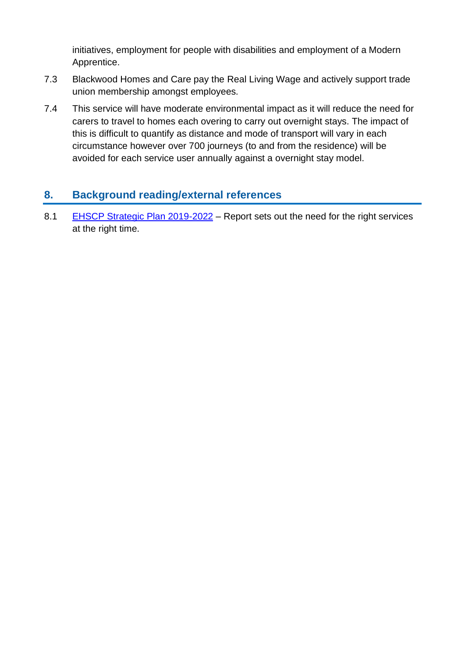initiatives, employment for people with disabilities and employment of a Modern Apprentice.

- 7.3 Blackwood Homes and Care pay the Real Living Wage and actively support trade union membership amongst employees.
- 7.4 This service will have moderate environmental impact as it will reduce the need for carers to travel to homes each overing to carry out overnight stays. The impact of this is difficult to quantify as distance and mode of transport will vary in each circumstance however over 700 journeys (to and from the residence) will be avoided for each service user annually against a overnight stay model.

# **8. Background reading/external references**

8.1 [EHSCP Strategic Plan 2019-2022](https://www.edinburghhsc.scot/wp-content/uploads/2020/01/Strategic-Plan-2019-2022-1.pdf) – Report sets out the need for the right services at the right time.